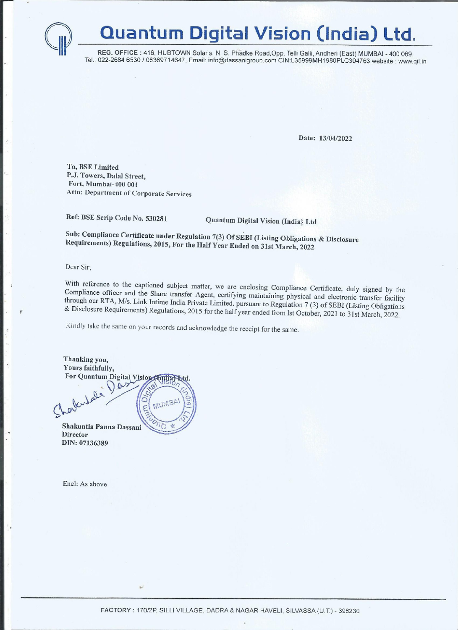## Quantum Digital Vision (India) Ltd.

REG. OFFICE : 416, HUBTOWN Solaris, N. S. Phadke Road, Opp. Telli Galli, Andheri (East) MUMBAI - 400 069. Tel.: 022-2684 6530 / 08369714647, Email: info@dassanigroup.com CIN:L35999MH1980PLC304763 website : www.qil.in

Date: 13/04/2022

To, BSE Limited P.J. Towers, Dalal Street, Fort, Mumbai-400 001 Attn: Department of Corporate Services

Ref: BSE Scrip Code No. 530281 Quantum Digital Vision (India} Ltd

Sub: Compliance Certificate under Regulation 7(3) Of SEBI (Listing Obligations & Disclosure Requirements) Regulations, 2015, For the Half Year Ended on 31st March, <sup>2022</sup>

Dear Sir,

 $\bigcap$ 

With reference to the captioned subject matter, we are enclosing Compliance Certificate, duly signed by the Compliance officer and the Share transfer Agent, certifying maintaining physical and electronic transfer facility

Kindly take the same on your records and acknowledge the receipt for the same.

a provincia de la construcción de la construcción de la construcción de la construcción de la construcción de

er and the Share transfer Agent, certifying maintaining Miss. Link Irtinite India Private Limited. pursuant to Regulations, 2015 for the half year ended from<br>unre on your records and acknowledge the receipt for the same<br>m Thanking you, Yours faithfully, For Quantum Digital Vision

**Director** DIN: 07136389